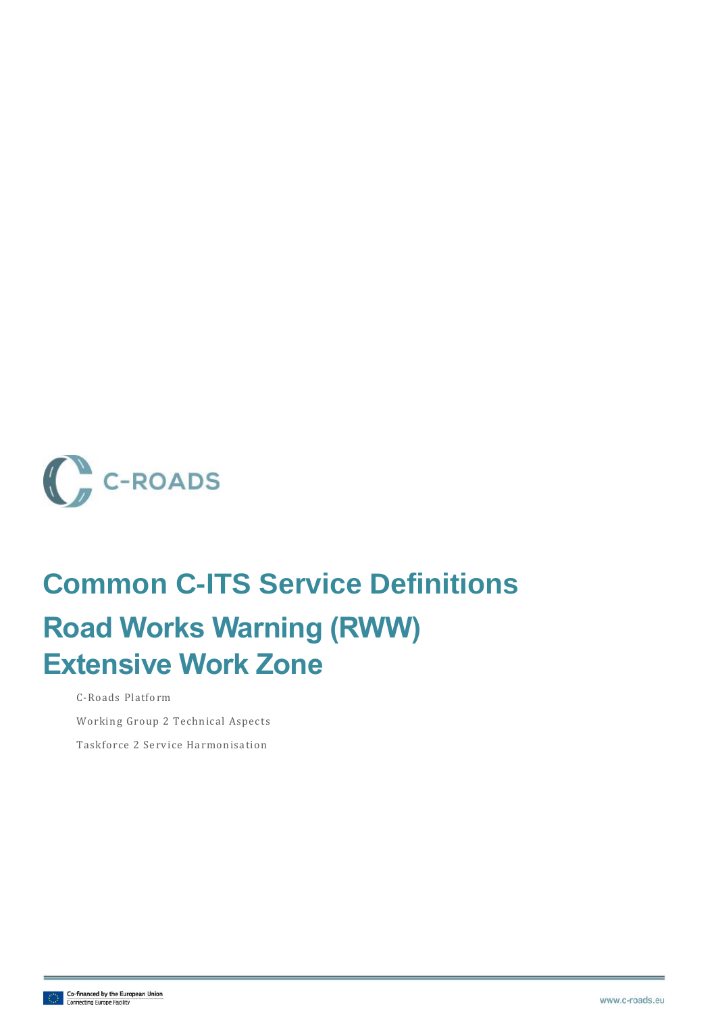

# **Common C-ITS Service Definitions Road Works Warning (RWW) Extensive Work Zone**

C-Roads Platform Working Group 2 Technical Aspects

Taskforce 2 Service Harmonisation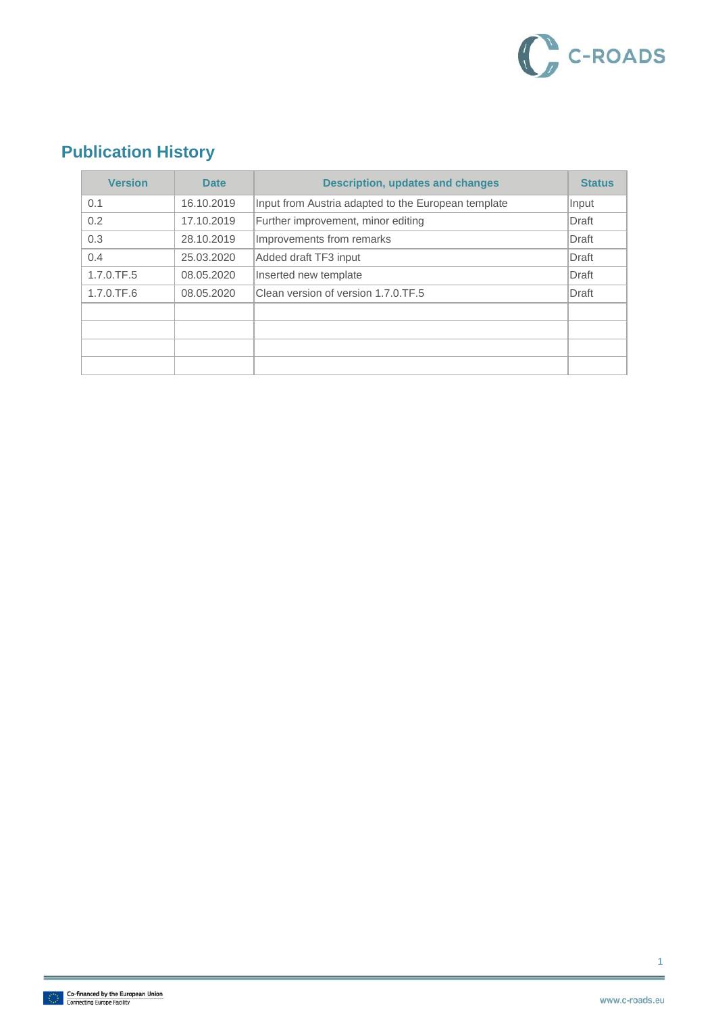

### **Publication History**

| <b>Version</b> | <b>Date</b> | <b>Description, updates and changes</b>             | <b>Status</b> |
|----------------|-------------|-----------------------------------------------------|---------------|
| 0.1            | 16.10.2019  | Input from Austria adapted to the European template | Input         |
| 0.2            | 17.10.2019  | Further improvement, minor editing                  | Draft         |
| 0.3            | 28.10.2019  | Improvements from remarks                           | Draft         |
| 0.4            | 25.03.2020  | Added draft TF3 input                               | Draft         |
| 1.7.0.TF.5     | 08.05.2020  | Inserted new template                               | Draft         |
| $1.7.0$ .TF.6  | 08.05.2020  | Clean version of version 1.7.0.TF.5                 | Draft         |
|                |             |                                                     |               |
|                |             |                                                     |               |
|                |             |                                                     |               |
|                |             |                                                     |               |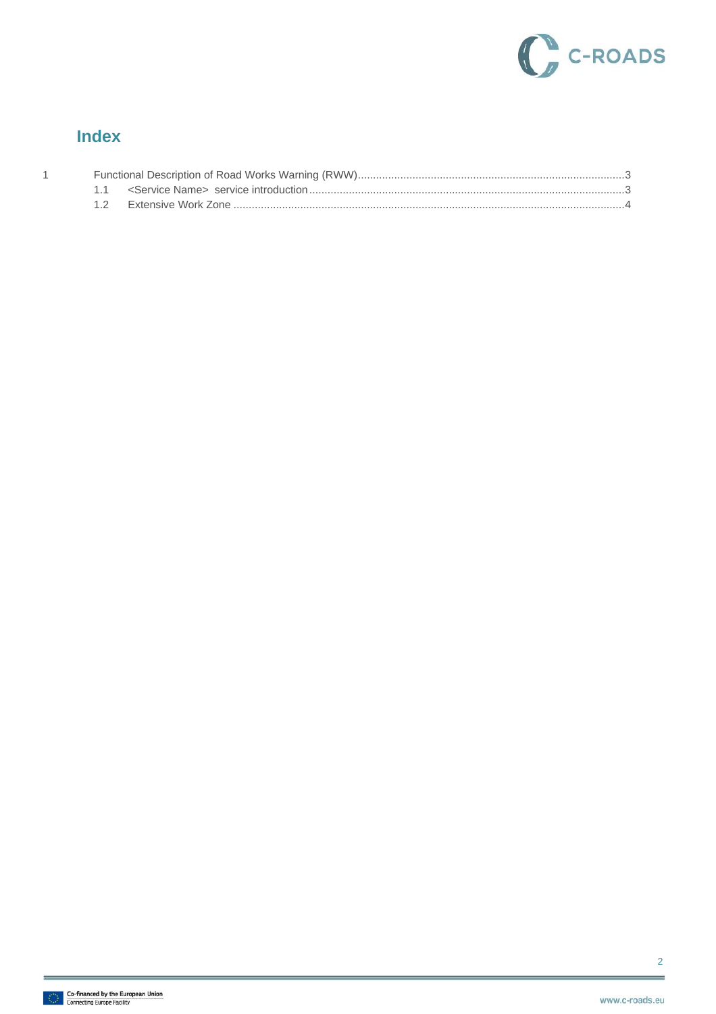

#### **Index**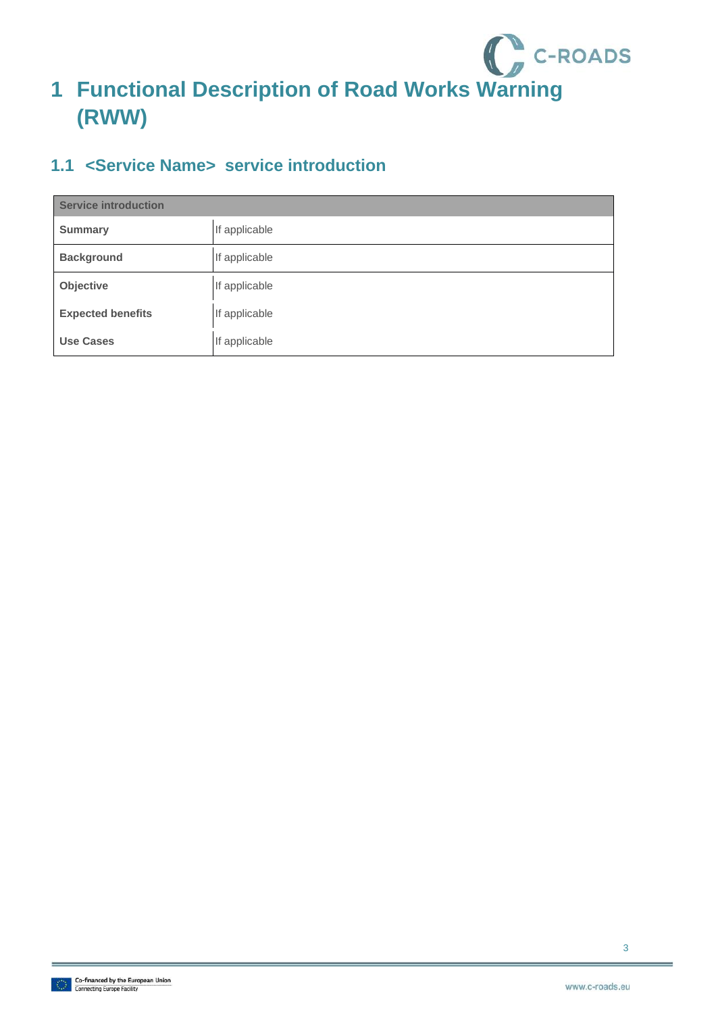

## <span id="page-3-0"></span>**1 Functional Description of Road Works Warning (RWW)**

### <span id="page-3-1"></span>**1.1 <Service Name> service introduction**

| <b>Service introduction</b> |               |  |
|-----------------------------|---------------|--|
| <b>Summary</b>              | If applicable |  |
| <b>Background</b>           | If applicable |  |
| Objective                   | If applicable |  |
| <b>Expected benefits</b>    | If applicable |  |
| <b>Use Cases</b>            | If applicable |  |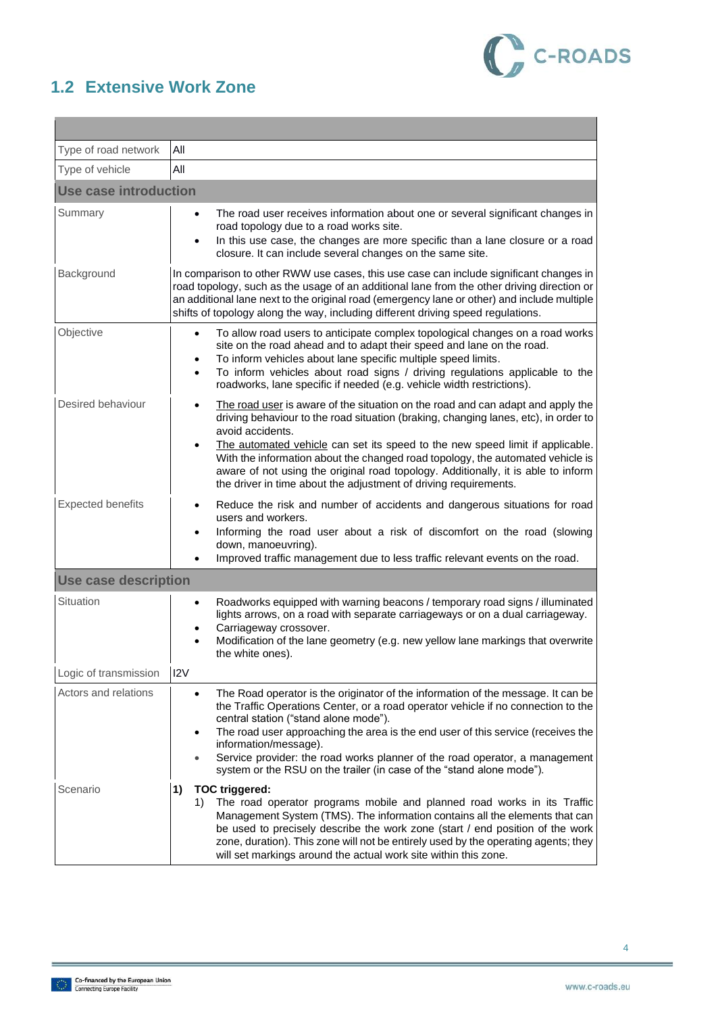

### <span id="page-4-0"></span>**1.2 Extensive Work Zone**

| Type of road network         | Αll                                                                                                                                                                                                                                                                                                                                                                                                                                                                                                                                              |  |  |  |  |
|------------------------------|--------------------------------------------------------------------------------------------------------------------------------------------------------------------------------------------------------------------------------------------------------------------------------------------------------------------------------------------------------------------------------------------------------------------------------------------------------------------------------------------------------------------------------------------------|--|--|--|--|
| Type of vehicle              | All                                                                                                                                                                                                                                                                                                                                                                                                                                                                                                                                              |  |  |  |  |
| <b>Use case introduction</b> |                                                                                                                                                                                                                                                                                                                                                                                                                                                                                                                                                  |  |  |  |  |
| Summary                      | The road user receives information about one or several significant changes in<br>road topology due to a road works site.<br>In this use case, the changes are more specific than a lane closure or a road<br>closure. It can include several changes on the same site.                                                                                                                                                                                                                                                                          |  |  |  |  |
| Background                   | In comparison to other RWW use cases, this use case can include significant changes in<br>road topology, such as the usage of an additional lane from the other driving direction or<br>an additional lane next to the original road (emergency lane or other) and include multiple<br>shifts of topology along the way, including different driving speed regulations.                                                                                                                                                                          |  |  |  |  |
| Objective                    | To allow road users to anticipate complex topological changes on a road works<br>$\bullet$<br>site on the road ahead and to adapt their speed and lane on the road.<br>To inform vehicles about lane specific multiple speed limits.<br>To inform vehicles about road signs / driving regulations applicable to the<br>roadworks, lane specific if needed (e.g. vehicle width restrictions).                                                                                                                                                     |  |  |  |  |
| Desired behaviour            | The road user is aware of the situation on the road and can adapt and apply the<br>$\bullet$<br>driving behaviour to the road situation (braking, changing lanes, etc), in order to<br>avoid accidents.<br>The automated vehicle can set its speed to the new speed limit if applicable.<br>$\bullet$<br>With the information about the changed road topology, the automated vehicle is<br>aware of not using the original road topology. Additionally, it is able to inform<br>the driver in time about the adjustment of driving requirements. |  |  |  |  |
| <b>Expected benefits</b>     | Reduce the risk and number of accidents and dangerous situations for road<br>٠<br>users and workers.<br>Informing the road user about a risk of discomfort on the road (slowing<br>down, manoeuvring).<br>Improved traffic management due to less traffic relevant events on the road.                                                                                                                                                                                                                                                           |  |  |  |  |
| <b>Use case description</b>  |                                                                                                                                                                                                                                                                                                                                                                                                                                                                                                                                                  |  |  |  |  |
| Situation                    | Roadworks equipped with warning beacons / temporary road signs / illuminated<br>lights arrows, on a road with separate carriageways or on a dual carriageway.<br>Carriageway crossover.<br>Modification of the lane geometry (e.g. new yellow lane markings that overwrite<br>the white ones).                                                                                                                                                                                                                                                   |  |  |  |  |
| Logic of transmission        | 12V                                                                                                                                                                                                                                                                                                                                                                                                                                                                                                                                              |  |  |  |  |
| Actors and relations         | The Road operator is the originator of the information of the message. It can be<br>$\bullet$<br>the Traffic Operations Center, or a road operator vehicle if no connection to the<br>central station ("stand alone mode").<br>The road user approaching the area is the end user of this service (receives the<br>information/message).<br>Service provider: the road works planner of the road operator, a management<br>system or the RSU on the trailer (in case of the "stand alone mode").                                                 |  |  |  |  |
| Scenario                     | <b>TOC triggered:</b><br>1)<br>The road operator programs mobile and planned road works in its Traffic<br>1)<br>Management System (TMS). The information contains all the elements that can<br>be used to precisely describe the work zone (start / end position of the work<br>zone, duration). This zone will not be entirely used by the operating agents; they<br>will set markings around the actual work site within this zone.                                                                                                            |  |  |  |  |